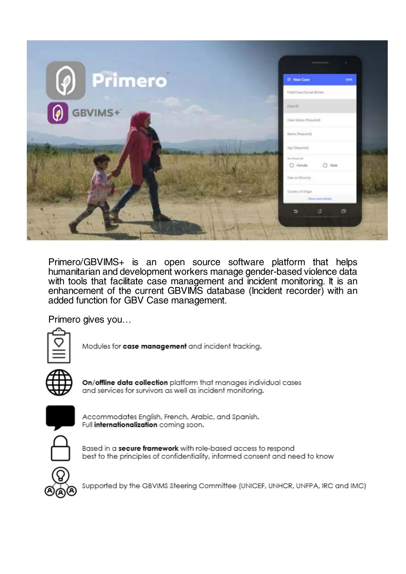

Primero/GBVIMS+ is an open source software platform that helps humanitarian and development workers manage gender-based violence data with tools that facilitate case management and incident monitoring. It is an enhancement of the current GBVIMS database (Incident recorder) with an added function for GBV Case management.

Primero gives you…



Modules for case management and incident tracking.



On/offline data collection platform that manages individual cases and services for survivors as well as incident monitorina.



Accommodates English, French, Arabic, and Spanish. Full internationalization coming soon.



Based in a secure framework with role-based access to respond best to the principles of confidentiality, informed consent and need to know



Supported by the GBVIMS Steering Committee (UNICEF, UNHCR, UNFPA, IRC and IMC)